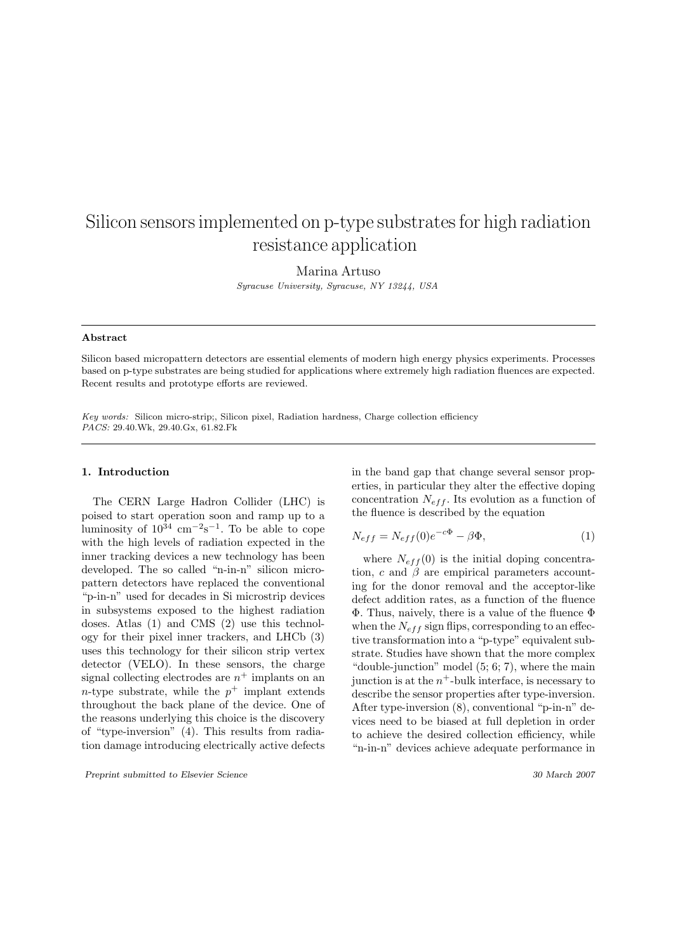# Silicon sensors implemented on p-type substrates for high radiation resistance application

Marina Artuso

Syracuse University, Syracuse, NY 13244, USA

# Abstract

Silicon based micropattern detectors are essential elements of modern high energy physics experiments. Processes based on p-type substrates are being studied for applications where extremely high radiation fluences are expected. Recent results and prototype efforts are reviewed.

Key words: Silicon micro-strip;, Silicon pixel, Radiation hardness, Charge collection efficiency PACS: 29.40.Wk, 29.40.Gx, 61.82.Fk

#### 1. Introduction

The CERN Large Hadron Collider (LHC) is poised to start operation soon and ramp up to a luminosity of  $10^{34}$  cm<sup>-2</sup>s<sup>-1</sup>. To be able to cope with the high levels of radiation expected in the inner tracking devices a new technology has been developed. The so called "n-in-n" silicon micropattern detectors have replaced the conventional "p-in-n" used for decades in Si microstrip devices in subsystems exposed to the highest radiation doses. Atlas (1) and CMS (2) use this technology for their pixel inner trackers, and LHCb (3) uses this technology for their silicon strip vertex detector (VELO). In these sensors, the charge signal collecting electrodes are  $n^+$  implants on an *n*-type substrate, while the  $p^+$  implant extends throughout the back plane of the device. One of the reasons underlying this choice is the discovery of "type-inversion" (4). This results from radiation damage introducing electrically active defects

Preprint submitted to Elsevier Science 30 March 2007

in the band gap that change several sensor properties, in particular they alter the effective doping concentration  $N_{eff}$ . Its evolution as a function of the fluence is described by the equation

$$
N_{eff} = N_{eff}(0)e^{-c\Phi} - \beta \Phi,\tag{1}
$$

where  $N_{eff}(0)$  is the initial doping concentration,  $c$  and  $\beta$  are empirical parameters accounting for the donor removal and the acceptor-like defect addition rates, as a function of the fluence Φ. Thus, naively, there is a value of the fluence Φ when the  $N_{eff}$  sign flips, corresponding to an effective transformation into a "p-type" equivalent substrate. Studies have shown that the more complex "double-junction" model  $(5; 6; 7)$ , where the main junction is at the  $n^+$ -bulk interface, is necessary to describe the sensor properties after type-inversion. After type-inversion (8), conventional "p-in-n" devices need to be biased at full depletion in order to achieve the desired collection efficiency, while "n-in-n" devices achieve adequate performance in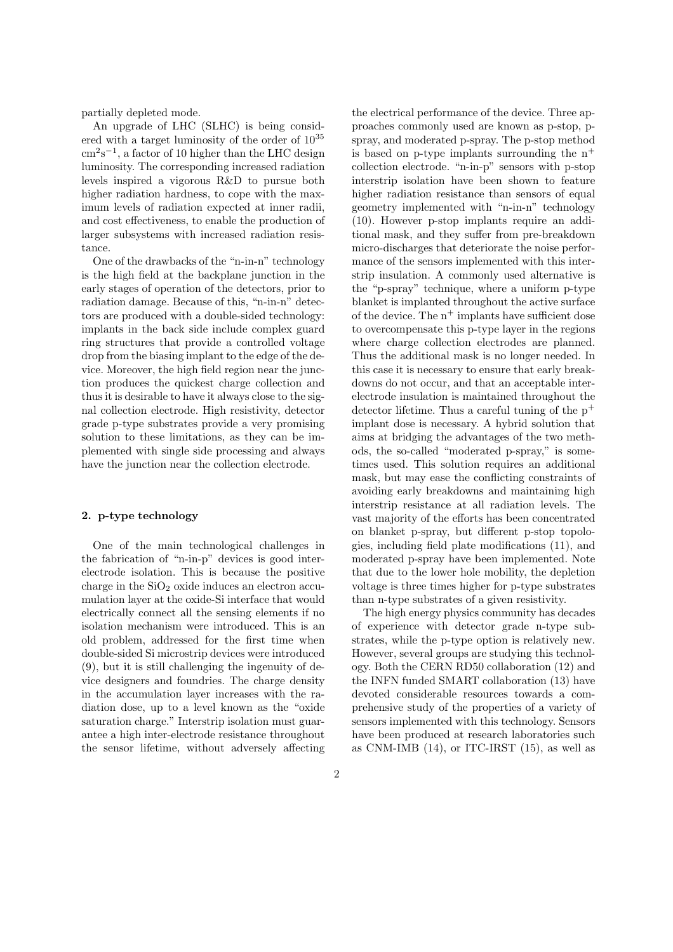partially depleted mode.

An upgrade of LHC (SLHC) is being considered with a target luminosity of the order of 10<sup>35</sup>  $\text{cm}^2\text{s}^{-1}$ , a factor of 10 higher than the LHC design luminosity. The corresponding increased radiation levels inspired a vigorous R&D to pursue both higher radiation hardness, to cope with the maximum levels of radiation expected at inner radii, and cost effectiveness, to enable the production of larger subsystems with increased radiation resistance.

One of the drawbacks of the "n-in-n" technology is the high field at the backplane junction in the early stages of operation of the detectors, prior to radiation damage. Because of this, "n-in-n" detectors are produced with a double-sided technology: implants in the back side include complex guard ring structures that provide a controlled voltage drop from the biasing implant to the edge of the device. Moreover, the high field region near the junction produces the quickest charge collection and thus it is desirable to have it always close to the signal collection electrode. High resistivity, detector grade p-type substrates provide a very promising solution to these limitations, as they can be implemented with single side processing and always have the junction near the collection electrode.

# 2. p-type technology

One of the main technological challenges in the fabrication of "n-in-p" devices is good interelectrode isolation. This is because the positive charge in the  $SiO<sub>2</sub>$  oxide induces an electron accumulation layer at the oxide-Si interface that would electrically connect all the sensing elements if no isolation mechanism were introduced. This is an old problem, addressed for the first time when double-sided Si microstrip devices were introduced (9), but it is still challenging the ingenuity of device designers and foundries. The charge density in the accumulation layer increases with the radiation dose, up to a level known as the "oxide saturation charge." Interstrip isolation must guarantee a high inter-electrode resistance throughout the sensor lifetime, without adversely affecting

the electrical performance of the device. Three approaches commonly used are known as p-stop, pspray, and moderated p-spray. The p-stop method is based on p-type implants surrounding the  $n^+$ collection electrode. "n-in-p" sensors with p-stop interstrip isolation have been shown to feature higher radiation resistance than sensors of equal geometry implemented with "n-in-n" technology (10). However p-stop implants require an additional mask, and they suffer from pre-breakdown micro-discharges that deteriorate the noise performance of the sensors implemented with this interstrip insulation. A commonly used alternative is the "p-spray" technique, where a uniform p-type blanket is implanted throughout the active surface of the device. The  $n^+$  implants have sufficient dose to overcompensate this p-type layer in the regions where charge collection electrodes are planned. Thus the additional mask is no longer needed. In this case it is necessary to ensure that early breakdowns do not occur, and that an acceptable interelectrode insulation is maintained throughout the detector lifetime. Thus a careful tuning of the  $p^+$ implant dose is necessary. A hybrid solution that aims at bridging the advantages of the two methods, the so-called "moderated p-spray," is sometimes used. This solution requires an additional mask, but may ease the conflicting constraints of avoiding early breakdowns and maintaining high interstrip resistance at all radiation levels. The vast majority of the efforts has been concentrated on blanket p-spray, but different p-stop topologies, including field plate modifications (11), and moderated p-spray have been implemented. Note that due to the lower hole mobility, the depletion voltage is three times higher for p-type substrates than n-type substrates of a given resistivity.

The high energy physics community has decades of experience with detector grade n-type substrates, while the p-type option is relatively new. However, several groups are studying this technology. Both the CERN RD50 collaboration (12) and the INFN funded SMART collaboration (13) have devoted considerable resources towards a comprehensive study of the properties of a variety of sensors implemented with this technology. Sensors have been produced at research laboratories such as CNM-IMB (14), or ITC-IRST (15), as well as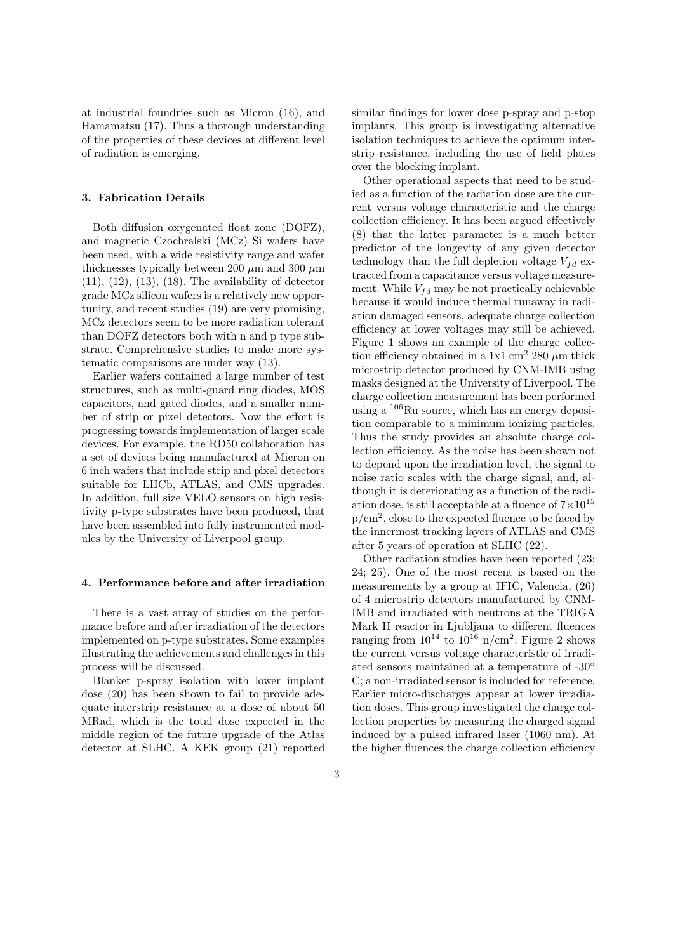at industrial foundries such as Micron (16), and Hamamatsu (17). Thus a thorough understanding of the properties of these devices at different level of radiation is emerging.

### 3. Fabrication Details

Both diffusion oxygenated float zone (DOFZ), and magnetic Czochralski (MCz) Si wafers have been used, with a wide resistivity range and wafer thicknesses typically between 200  $\mu$ m and 300  $\mu$ m  $(11)$ ,  $(12)$ ,  $(13)$ ,  $(18)$ . The availability of detector grade MCz silicon wafers is a relatively new opportunity, and recent studies (19) are very promising, MCz detectors seem to be more radiation tolerant than DOFZ detectors both with n and p type substrate. Comprehensive studies to make more systematic comparisons are under way (13).

Earlier wafers contained a large number of test structures, such as multi-guard ring diodes, MOS capacitors, and gated diodes, and a smaller number of strip or pixel detectors. Now the effort is progressing towards implementation of larger scale devices. For example, the RD50 collaboration has a set of devices being manufactured at Micron on 6 inch wafers that include strip and pixel detectors suitable for LHCb, ATLAS, and CMS upgrades. In addition, full size VELO sensors on high resistivity p-type substrates have been produced, that have been assembled into fully instrumented modules by the University of Liverpool group.

#### 4. Performance before and after irradiation

There is a vast array of studies on the performance before and after irradiation of the detectors implemented on p-type substrates. Some examples illustrating the achievements and challenges in this process will be discussed.

Blanket p-spray isolation with lower implant dose (20) has been shown to fail to provide adequate interstrip resistance at a dose of about 50 MRad, which is the total dose expected in the middle region of the future upgrade of the Atlas detector at SLHC. A KEK group (21) reported

similar findings for lower dose p-spray and p-stop implants. This group is investigating alternative isolation techniques to achieve the optimum interstrip resistance, including the use of field plates over the blocking implant.

Other operational aspects that need to be studied as a function of the radiation dose are the current versus voltage characteristic and the charge collection efficiency. It has been argued effectively (8) that the latter parameter is a much better predictor of the longevity of any given detector technology than the full depletion voltage  $V_{fd}$  extracted from a capacitance versus voltage measurement. While  $V_{fd}$  may be not practically achievable because it would induce thermal runaway in radiation damaged sensors, adequate charge collection efficiency at lower voltages may still be achieved. Figure 1 shows an example of the charge collection efficiency obtained in a 1x1 cm<sup>2</sup> 280  $\mu$ m thick microstrip detector produced by CNM-IMB using masks designed at the University of Liverpool. The charge collection measurement has been performed using a  $^{106}$ Ru source, which has an energy deposition comparable to a minimum ionizing particles. Thus the study provides an absolute charge collection efficiency. As the noise has been shown not to depend upon the irradiation level, the signal to noise ratio scales with the charge signal, and, although it is deteriorating as a function of the radiation dose, is still acceptable at a fluence of  $7 \times 10^{15}$  $p/cm<sup>2</sup>$ , close to the expected fluence to be faced by the innermost tracking layers of ATLAS and CMS after 5 years of operation at SLHC (22).

Other radiation studies have been reported (23; 24; 25). One of the most recent is based on the measurements by a group at IFIC, Valencia, (26) of 4 microstrip detectors manufactured by CNM-IMB and irradiated with neutrons at the TRIGA Mark II reactor in Ljubljana to different fluences ranging from  $10^{14}$  to  $10^{16}$  n/cm<sup>2</sup>. Figure 2 shows the current versus voltage characteristic of irradiated sensors maintained at a temperature of -30◦ C; a non-irradiated sensor is included for reference. Earlier micro-discharges appear at lower irradiation doses. This group investigated the charge collection properties by measuring the charged signal induced by a pulsed infrared laser (1060 nm). At the higher fluences the charge collection efficiency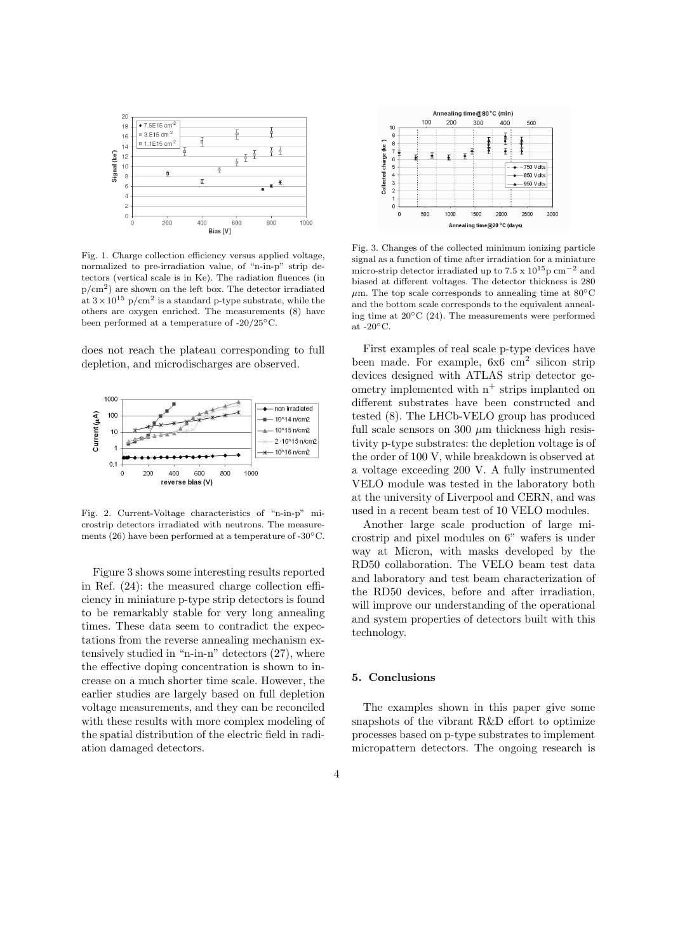

Fig. 1. Charge collection efficiency versus applied voltage, normalized to pre-irradiation value, of "n-in-p" strip detectors (vertical scale is in Ke). The radiation fluences (in p/cm<sup>2</sup> ) are shown on the left box. The detector irradiated at  $3 \times 10^{15}$  p/cm<sup>2</sup> is a standard p-type substrate, while the others are oxygen enriched. The measurements (8) have been performed at a temperature of -20/25◦C.

does not reach the plateau corresponding to full depletion, and microdischarges are observed.



Fig. 2. Current-Voltage characteristics of "n-in-p" microstrip detectors irradiated with neutrons. The measurements (26) have been performed at a temperature of -30 $\rm ^{o}C$ .

Figure 3 shows some interesting results reported in Ref. (24): the measured charge collection efficiency in miniature p-type strip detectors is found to be remarkably stable for very long annealing times. These data seem to contradict the expectations from the reverse annealing mechanism extensively studied in "n-in-n" detectors (27), where the effective doping concentration is shown to increase on a much shorter time scale. However, the earlier studies are largely based on full depletion voltage measurements, and they can be reconciled with these results with more complex modeling of the spatial distribution of the electric field in radiation damaged detectors.



Fig. 3. Changes of the collected minimum ionizing particle signal as a function of time after irradiation for a miniature micro-strip detector irradiated up to  $7.5 \times 10^{15}$ p cm<sup>-2</sup> and biased at different voltages. The detector thickness is 280  $\mu$ m. The top scale corresponds to annealing time at 80 $\mathrm{^{\circ}C}$ and the bottom scale corresponds to the equivalent annealing time at 20◦C (24). The measurements were performed at  $-20\textdegree$ C.

First examples of real scale p-type devices have been made. For example, 6x6 cm<sup>2</sup> silicon strip devices designed with ATLAS strip detector geometry implemented with  $n^+$  strips implanted on different substrates have been constructed and tested (8). The LHCb-VELO group has produced full scale sensors on 300  $\mu$ m thickness high resistivity p-type substrates: the depletion voltage is of the order of 100 V, while breakdown is observed at a voltage exceeding 200 V. A fully instrumented VELO module was tested in the laboratory both at the university of Liverpool and CERN, and was used in a recent beam test of 10 VELO modules.

Another large scale production of large microstrip and pixel modules on 6" wafers is under way at Micron, with masks developed by the RD50 collaboration. The VELO beam test data and laboratory and test beam characterization of the RD50 devices, before and after irradiation, will improve our understanding of the operational and system properties of detectors built with this technology.

# 5. Conclusions

The examples shown in this paper give some snapshots of the vibrant R&D effort to optimize processes based on p-type substrates to implement micropattern detectors. The ongoing research is